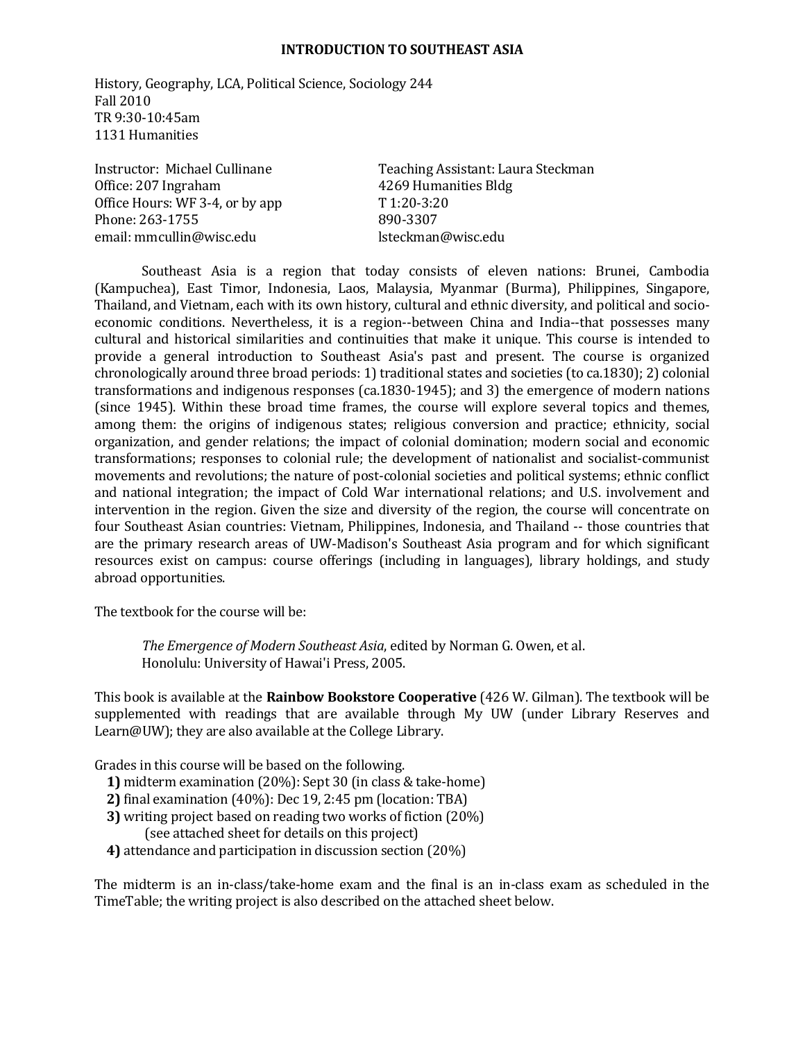#### **INTRODUCTION TO SOUTHEAST ASIA**

History, Geography, LCA, Political Science, Sociology 244 Fall 2010 TR 9:30‐10:45am 1131 Humanities 

Office: 207 Ingraham 4269 Humanities Bldg Office Hours: WF 3-4, or by app  $T\ 1:20-3:20$ Phone: 263-1755 890-3307 email: mmcullin@wisc.edu lsteckman@wisc.edu

Instructor: Michael Cullinane **Teaching Assistant:** Laura Steckman

Southeast Asia is a region that today consists of eleven nations: Brunei, Cambodia (Kampuchea), East Timor, Indonesia, Laos, Malaysia, Myanmar (Burma), Philippines, Singapore, Thailand, and Vietnam, each with its own history, cultural and ethnic diversity, and political and socioeconomic conditions. Nevertheless, it is a region--between China and India--that possesses many cultural and historical similarities and continuities that make it unique. This course is intended to provide a general introduction to Southeast Asia's past and present. The course is organized chronologically around three broad periods: 1) traditional states and societies (to ca.1830); 2) colonial transformations and indigenous responses (ca.1830-1945); and 3) the emergence of modern nations (since 1945). Within these broad time frames, the course will explore several topics and themes, among them: the origins of indigenous states; religious conversion and practice; ethnicity, social organization, and gender relations; the impact of colonial domination; modern social and economic transformations; responses to colonial rule; the development of nationalist and socialist-communist movements and revolutions; the nature of post-colonial societies and political systems; ethnic conflict and national integration; the impact of Cold War international relations; and U.S. involvement and intervention in the region. Given the size and diversity of the region, the course will concentrate on four Southeast Asian countries: Vietnam, Philippines, Indonesia, and Thailand -- those countries that are the primary research areas of UW-Madison's Southeast Asia program and for which significant resources exist on campus: course offerings (including in languages), library holdings, and study abroad opportunities.

The textbook for the course will be:

*The Emergence of Modern Southeast Asia*, edited by Norman G. Owen, et al. Honolulu: University of Hawai'i Press, 2005.

This book is available at the **Rainbow Bookstore Cooperative** (426 W. Gilman). The textbook will be supplemented with readings that are available through My UW (under Library Reserves and Learn@UW); they are also available at the College Library.

Grades in this course will be based on the following.

- **1)** midterm examination (20%): Sept 30 (in class & take-home)
- **2)** final examination (40%): Dec 19, 2:45 pm (location: TBA)
- **3)** writing project based on reading two works of fiction (20%) (see attached sheet for details on this project)
- **4)** attendance and participation in discussion section (20%)

The midterm is an in‐class/take‐home exam and the final is an in‐class exam as scheduled in the TimeTable; the writing project is also described on the attached sheet below.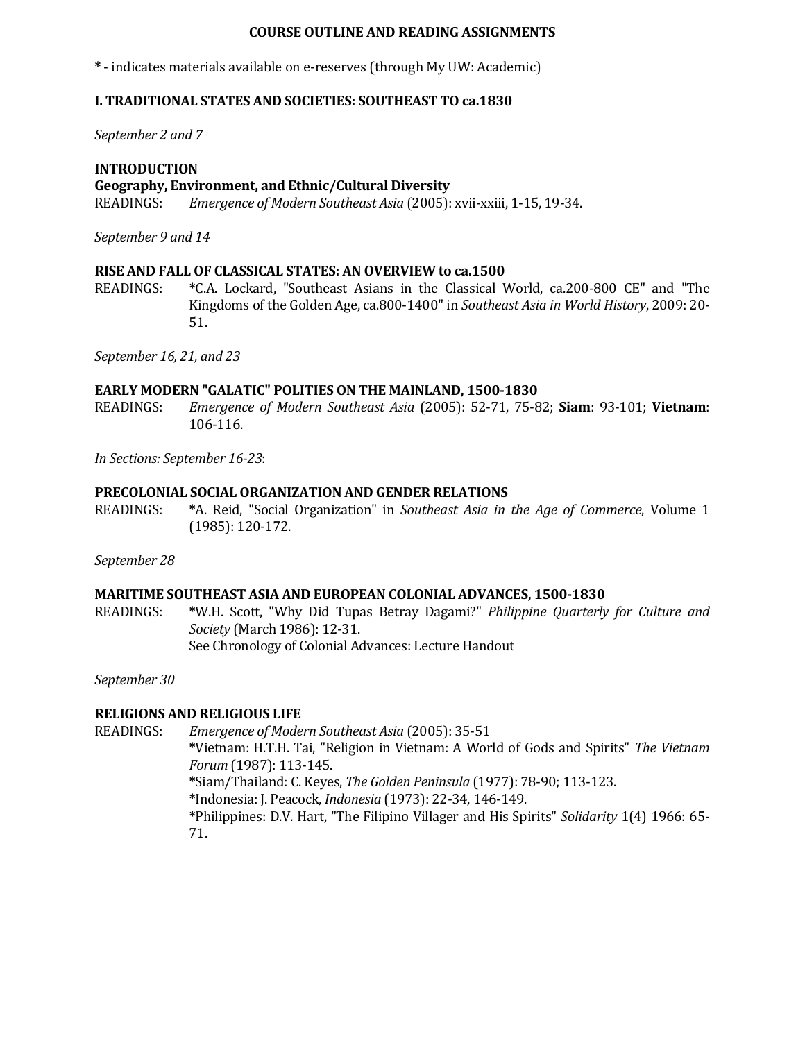### **COURSE OUTLINE AND READING ASSIGNMENTS**

**\*** - indicates materials available on e-reserves (through My UW: Academic)

## **I. TRADITIONAL STATES AND SOCIETIES: SOUTHEAST TO ca.1830**

*September 2 and 7*

#### **INTRODUCTION**

#### **Geography, Environment, and Ethnic/Cultural Diversity**

READINGS: *Emergence of Modern Southeast Asia* (2005): xvii-xxiii, 1-15, 19-34.

*September 9 and 14*

#### **RISE AND FALL OF CLASSICAL STATES: AN OVERVIEW to ca.1500**

READINGS: \* C.A. Lockard, "Southeast Asians in the Classical World, ca.200-800 CE" and "The Kingdoms of the Golden Age, ca.800-1400" in *Southeast Asia in World History*, 2009: 20-51. 

*September 16, 21, and 23*

#### **EARLY MODERN "GALATIC" POLITIES ON THE MAINLAND, 1500‐1830**

READINGS: *Emergence of Modern Southeast Asia* (2005): 52‐71, 75‐82; **Siam**: 93‐101; **Vietnam**: 106‐116. 

*In Sections: September 16‐23*: 

#### **PRECOLONIAL SOCIAL ORGANIZATION AND GENDER RELATIONS**

READINGS: **\***A. Reid, "Social Organization" in *Southeast Asia in the Age of Commerce*, Volume 1 (1985): 120‐172. 

*September 28*

#### **MARITIME SOUTHEAST ASIA AND EUROPEAN COLONIAL ADVANCES, 1500‐1830**

READINGS: **\***W.H. Scott, "Why Did Tupas Betray Dagami?" *Philippine Quarterly for Culture and Society* (March 1986): 12‐31. See Chronology of Colonial Advances: Lecture Handout

*September 30*

### **RELIGIONS AND RELIGIOUS LIFE**

READINGS: *Emergence of Modern Southeast Asia* (2005): 35-51  **\***Vietnam: H.T.H. Tai, "Religion in Vietnam: A World of Gods and Spirits" *The Vietnam Forum* (1987): 113‐145.  **\***Siam/Thailand: C. Keyes, *The Golden Peninsula* (1977): 78‐90; 113‐123.  **\***Indonesia: J. Peacock, *Indonesia* (1973): 22‐34, 146‐149. \*Philippines: D.V. Hart, "The Filipino Villager and His Spirits" *Solidarity* 1(4) 1966: 65-71.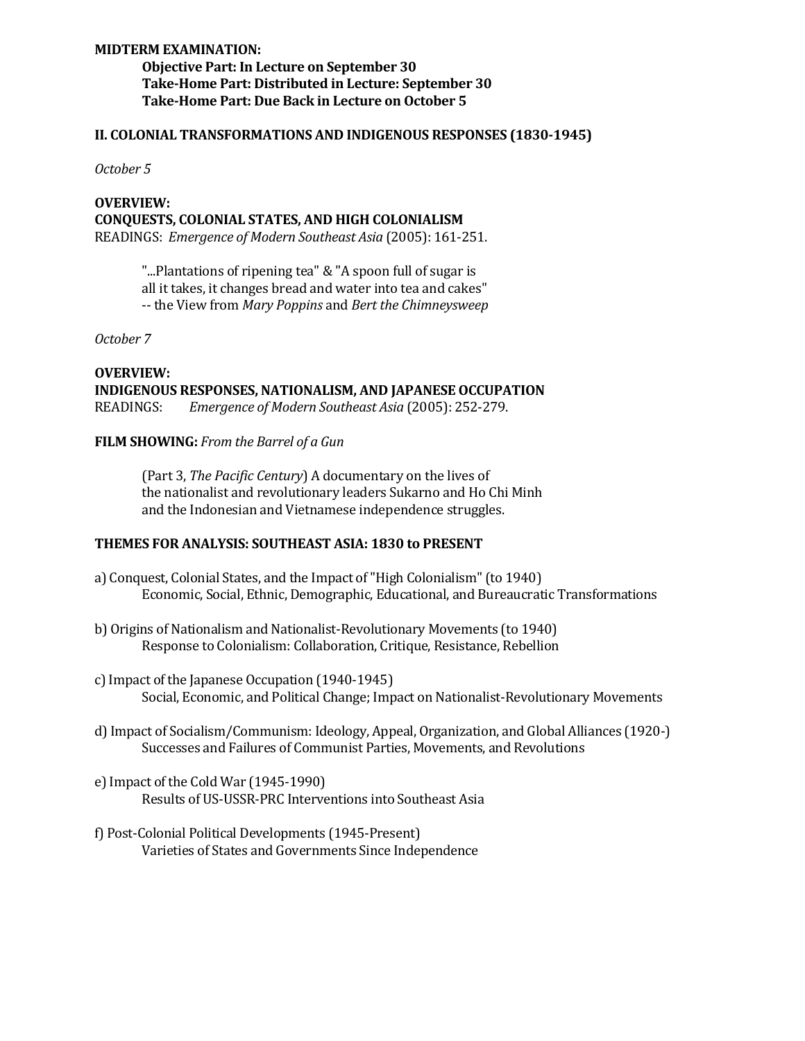## **MIDTERM EXAMINATION:**

**Objective Part: In Lecture on September 30 Take‐Home Part: Distributed in Lecture: September 30 Take‐Home Part: Due Back in Lecture on October 5**

#### **II. COLONIAL TRANSFORMATIONS AND INDIGENOUS RESPONSES (1830‐1945)**

*October 5*

## **OVERVIEW: CONQUESTS, COLONIAL STATES, AND HIGH COLONIALISM** READINGS: *Emergence of Modern Southeast Asia* (2005): 161‐251.

"...Plantations of ripening tea" & "A spoon full of sugar is all it takes, it changes bread and water into tea and cakes" ‐‐ the View from *Mary Poppins* and *Bert the Chimneysweep*

*October 7*

## **OVERVIEW: INDIGENOUS RESPONSES, NATIONALISM, AND JAPANESE OCCUPATION** READINGS: *Emergence of Modern Southeast Asia* (2005): 252‐279.

### **FILM SHOWING:** *From the Barrel of a Gun*

(Part 3, *The Pacific Century*) A documentary on the lives of the nationalist and revolutionary leaders Sukarno and Ho Chi Minh and the Indonesian and Vietnamese independence struggles.

### **THEMES FOR ANALYSIS: SOUTHEAST ASIA: 1830 to PRESENT**

- a) Conquest, Colonial States, and the Impact of "High Colonialism" (to 1940) Economic, Social, Ethnic, Demographic, Educational, and Bureaucratic Transformations
- b) Origins of Nationalism and Nationalist-Revolutionary Movements (to 1940) Response to Colonialism: Collaboration, Critique, Resistance, Rebellion
- c) Impact of the Japanese Occupation (1940-1945) Social, Economic, and Political Change; Impact on Nationalist-Revolutionary Movements
- d) Impact of Socialism/Communism: Ideology, Appeal, Organization, and Global Alliances (1920-) Successes and Failures of Communist Parties, Movements, and Revolutions
- e) Impact of the Cold War (1945-1990) Results of US-USSR-PRC Interventions into Southeast Asia
- f) Post-Colonial Political Developments (1945-Present) Varieties of States and Governments Since Independence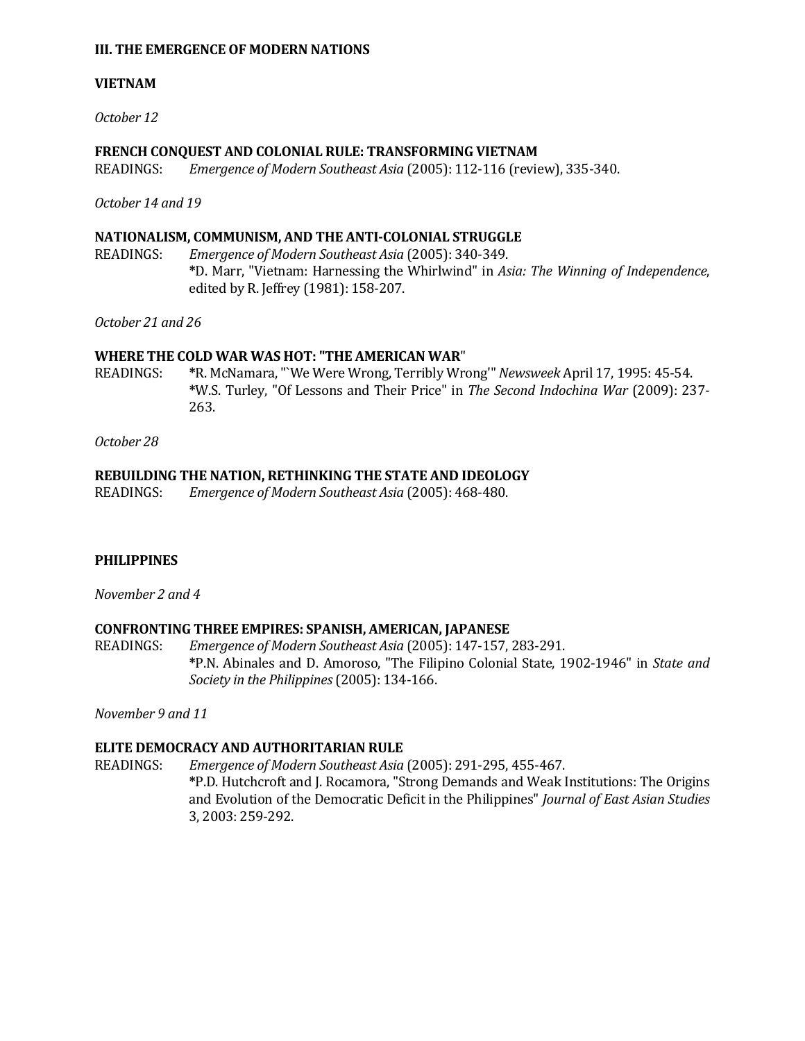#### **III. THE EMERGENCE OF MODERN NATIONS**

## **VIETNAM**

*October 12*

## **FRENCH CONQUEST AND COLONIAL RULE: TRANSFORMING VIETNAM**

READINGS: *Emergence of Modern Southeast Asia* (2005): 112‐116 (review), 335‐340. 

*October 14 and 19*

## **NATIONALISM, COMMUNISM, AND THE ANTI‐COLONIAL STRUGGLE**

READINGS: *Emergence of Modern Southeast Asia* (2005): 340‐349.  **\***D. Marr, "Vietnam: Harnessing the Whirlwind" in *Asia: The Winning of Independence*, edited by R. Jeffrey (1981): 158-207.

*October 21 and 26*

### **WHERE THE COLD WAR WAS HOT: "THE AMERICAN WAR**"

READINGS: \*R. McNamara, "`We Were Wrong, Terribly Wrong'" Newsweek April 17, 1995: 45-54.  **\***W.S. Turley, "Of Lessons and Their Price" in *The Second Indochina War* (2009): 237‐ 263. 

*October 28*

### **REBUILDING THE NATION, RETHINKING THE STATE AND IDEOLOGY**

READINGS: *Emergence of Modern Southeast Asia* (2005): 468-480.

### **PHILIPPINES**

*November 2 and 4*

### **CONFRONTING THREE EMPIRES: SPANISH, AMERICAN, JAPANESE**

READINGS: *Emergence of Modern Southeast Asia* (2005): 147-157, 283-291.  **\***P.N. Abinales and D. Amoroso, "The Filipino Colonial State, 1902‐1946" in *State and Society in the Philippines* (2005): 134‐166. 

*November 9 and 11*

### **ELITE DEMOCRACY AND AUTHORITARIAN RULE**

READINGS: *Emergence of Modern Southeast Asia* (2005): 291-295, 455-467.  **\***P.D. Hutchcroft and J. Rocamora, "Strong Demands and Weak Institutions: The Origins and Evolution of the Democratic Deficit in the Philippines" *Journal of East Asian Studies* 3, 2003: 259‐292.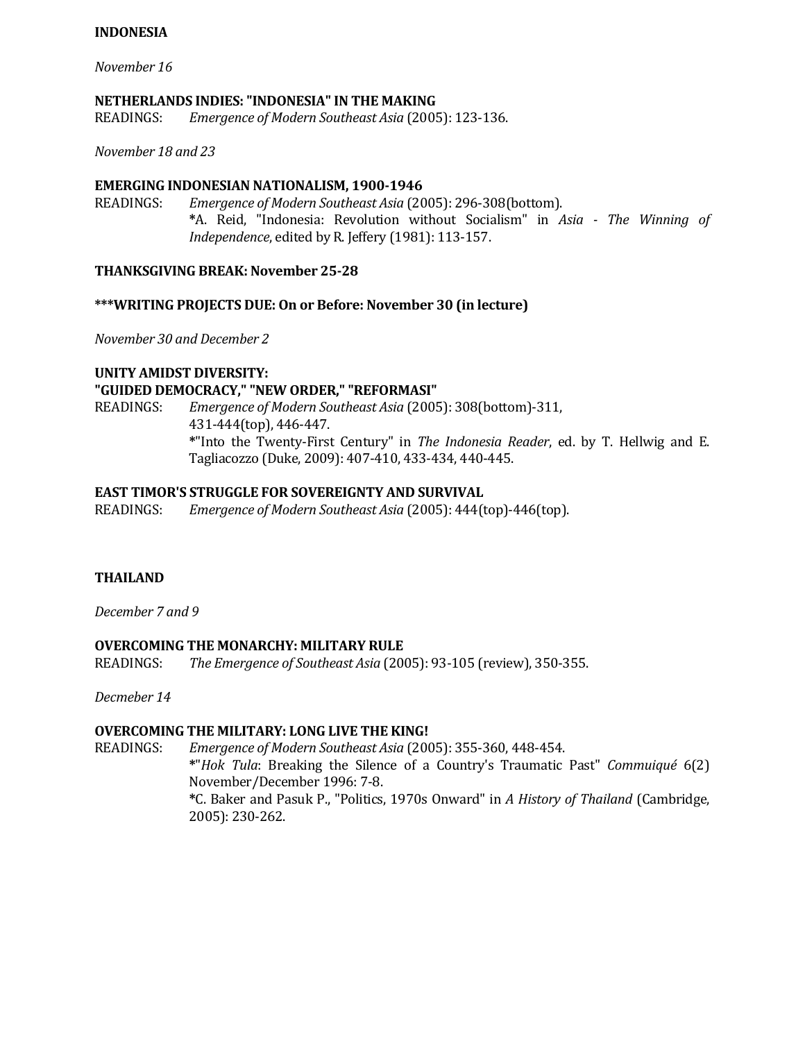# **INDONESIA**

*November 16*

#### **NETHERLANDS INDIES: "INDONESIA" IN THE MAKING**

READINGS: *Emergence of Modern Southeast Asia* (2005): 123‐136. 

*November 18 and 23*

#### **EMERGING INDONESIAN NATIONALISM, 1900‐1946**

READINGS: *Emergence of Modern Southeast Asia* (2005): 296-308(bottom).  **\***A. Reid, "Indonesia: Revolution without Socialism" in *Asia ‐ The Winning of Independence*, edited by R. Jeffery (1981): 113-157.

#### **THANKSGIVING BREAK: November 25‐28**

#### **\*\*\*WRITING PROJECTS DUE: On or Before: November 30 (in lecture)**

*November 30 and December 2*

# **UNITY AMIDST DIVERSITY: "GUIDED DEMOCRACY," "NEW ORDER," "REFORMASI"**

READINGS: *Emergence of Modern Southeast Asia* (2005): 308(bottom)-311, 431-444(top), 446-447.  **\***"Into the Twenty‐First Century" in *The Indonesia Reader*, ed. by T. Hellwig and E. Tagliacozzo (Duke, 2009): 407-410, 433-434, 440-445.

#### **EAST TIMOR'S STRUGGLE FOR SOVEREIGNTY AND SURVIVAL**

READINGS: *Emergence of Modern Southeast Asia* (2005): 444(top)‐446(top). 

### **THAILAND**

*December 7 and 9*

### **OVERCOMING THE MONARCHY: MILITARY RULE**

READINGS: *The Emergence of Southeast Asia* (2005): 93‐105 (review), 350‐355. 

*Decmeber 14*

### **OVERCOMING THE MILITARY: LONG LIVE THE KING!**

READINGS: *Emergence of Modern Southeast Asia* (2005): 355-360, 448-454.  **\***"*Hok Tula*: Breaking the Silence of a Country's Traumatic Past" *Commuiqué* 6(2) November/December 1996: 7-8.  **\***C. Baker and Pasuk P., "Politics, 1970s Onward" in *A History of Thailand* (Cambridge, 2005): 230‐262.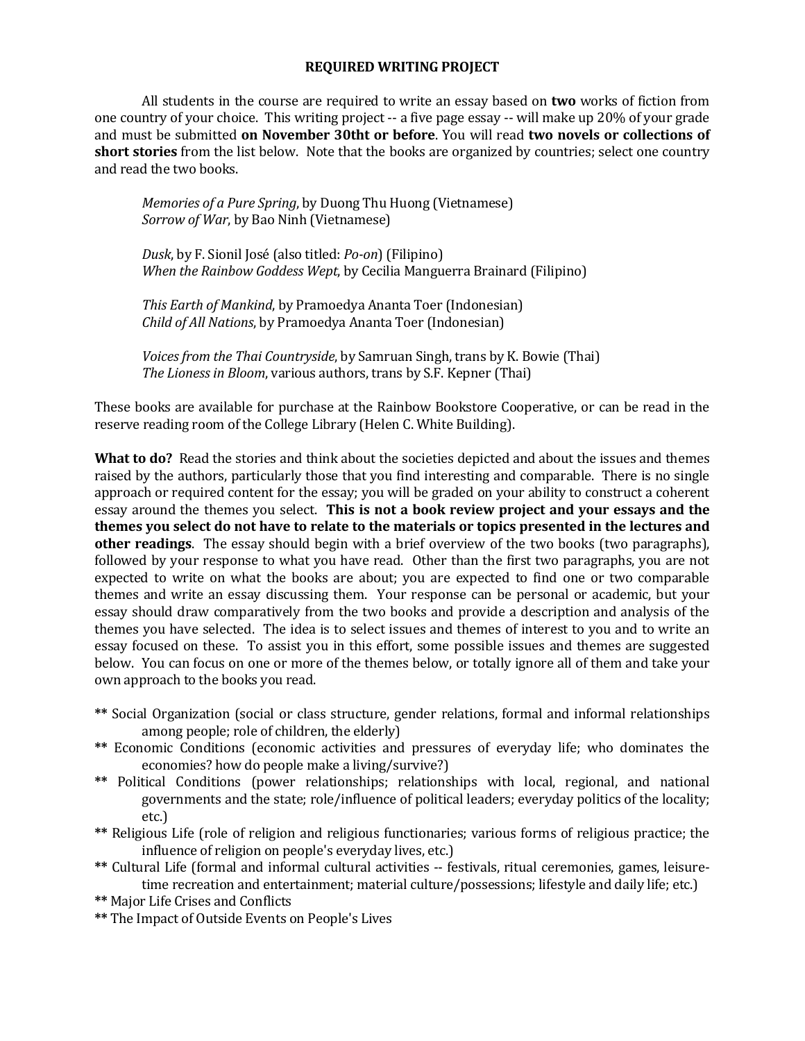#### **REQUIRED WRITING PROJECT**

All students in the course are required to write an essay based on **two** works of fiction from one country of your choice. This writing project -- a five page essay -- will make up 20% of your grade and must be submitted **on November 30tht or before**. You will read **two novels or collections of short stories** from the list below. Note that the books are organized by countries; select one country and read the two books.

*Memories of a Pure Spring*, by Duong Thu Huong (Vietnamese) *Sorrow of War*, by Bao Ninh (Vietnamese)

*Dusk*, by F. Sionil José (also titled: *Po‐on*) (Filipino) *When the Rainbow Goddess Wept*, by Cecilia Manguerra Brainard (Filipino) 

*This Earth of Mankind*, by Pramoedya Ananta Toer (Indonesian) *Child of All Nations*, by Pramoedya Ananta Toer (Indonesian) 

*Voices from the Thai Countryside,* by Samruan Singh, trans by K. Bowie (Thai) *The Lioness in Bloom*, various authors, trans by S.F. Kepner (Thai)

These books are available for purchase at the Rainbow Bookstore Cooperative, or can be read in the reserve reading room of the College Library (Helen C. White Building).

**What to do?** Read the stories and think about the societies depicted and about the issues and themes raised by the authors, particularly those that you find interesting and comparable. There is no single approach or required content for the essay; you will be graded on your ability to construct a coherent essay around the themes you select. **This is not a book review project and your essays and the themes you select do not have to relate to the materials or topics presented in the lectures and other readings**. The essay should begin with a brief overview of the two books (two paragraphs), followed by your response to what you have read. Other than the first two paragraphs, you are not expected to write on what the books are about; you are expected to find one or two comparable themes and write an essay discussing them. Your response can be personal or academic, but your essay should draw comparatively from the two books and provide a description and analysis of the themes you have selected. The idea is to select issues and themes of interest to you and to write an essay focused on these. To assist you in this effort, some possible issues and themes are suggested below. You can focus on one or more of the themes below, or totally ignore all of them and take your own approach to the books you read.

- \*\* Social Organization (social or class structure, gender relations, formal and informal relationships among people; role of children, the elderly)
- \*\* Economic Conditions (economic activities and pressures of everyday life; who dominates the economies? how do people make a living/survive?)
- \*\* Political Conditions (power relationships; relationships with local, regional, and national governments and the state; role/influence of political leaders; everyday politics of the locality; etc.)
- \*\* Religious Life (role of religion and religious functionaries; various forms of religious practice; the influence of religion on people's everyday lives, etc.)
- \*\* Cultural Life (formal and informal cultural activities -- festivals, ritual ceremonies, games, leisuretime recreation and entertainment; material culture/possessions; lifestyle and daily life; etc.)
- **\*\*** Major Life Crises and Conflicts
- \*\* The Impact of Outside Events on People's Lives